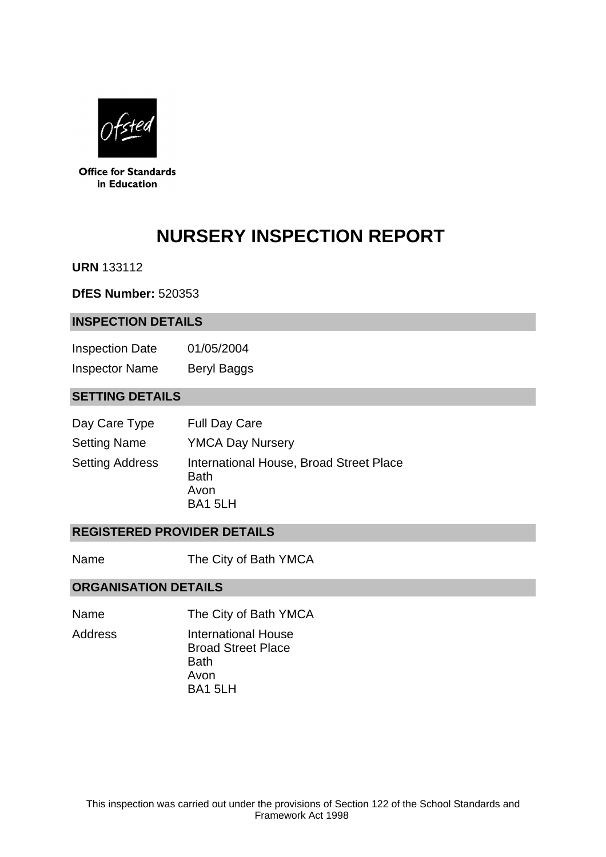

**Office for Standards** in Education

# **NURSERY INSPECTION REPORT**

**URN** 133112

**DfES Number:** 520353

### **INSPECTION DETAILS**

Inspection Date 01/05/2004 Inspector Name Beryl Baggs

## **SETTING DETAILS**

| Day Care Type          | <b>Full Day Care</b>                                                      |
|------------------------|---------------------------------------------------------------------------|
| <b>Setting Name</b>    | <b>YMCA Day Nursery</b>                                                   |
| <b>Setting Address</b> | International House, Broad Street Place<br><b>Bath</b><br>Avon<br>BA1 5LH |

## **REGISTERED PROVIDER DETAILS**

Name The City of Bath YMCA

#### **ORGANISATION DETAILS**

Name The City of Bath YMCA

Address International House Broad Street Place **Bath** Avon BA1 5LH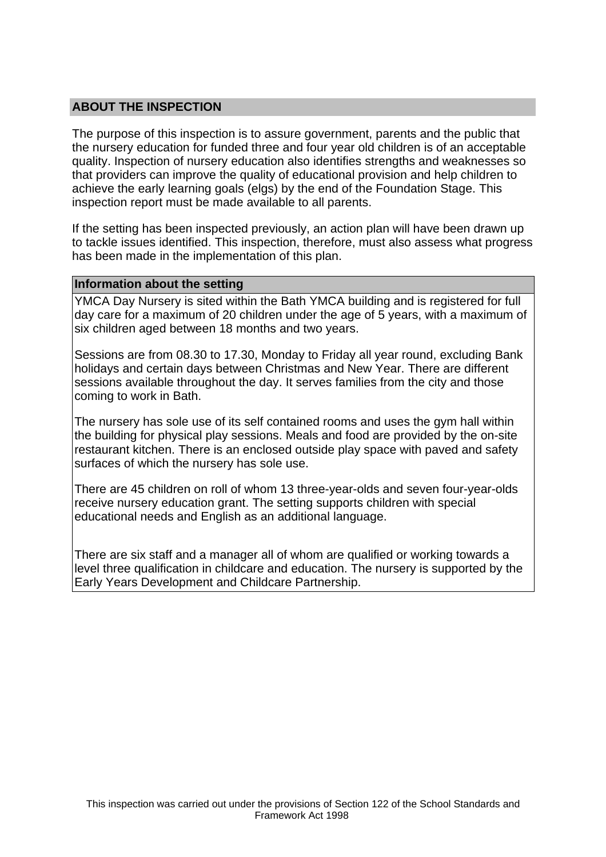## **ABOUT THE INSPECTION**

The purpose of this inspection is to assure government, parents and the public that the nursery education for funded three and four year old children is of an acceptable quality. Inspection of nursery education also identifies strengths and weaknesses so that providers can improve the quality of educational provision and help children to achieve the early learning goals (elgs) by the end of the Foundation Stage. This inspection report must be made available to all parents.

If the setting has been inspected previously, an action plan will have been drawn up to tackle issues identified. This inspection, therefore, must also assess what progress has been made in the implementation of this plan.

#### **Information about the setting**

YMCA Day Nursery is sited within the Bath YMCA building and is registered for full day care for a maximum of 20 children under the age of 5 years, with a maximum of six children aged between 18 months and two vears.

Sessions are from 08.30 to 17.30, Monday to Friday all year round, excluding Bank holidays and certain days between Christmas and New Year. There are different sessions available throughout the day. It serves families from the city and those coming to work in Bath.

The nursery has sole use of its self contained rooms and uses the gym hall within the building for physical play sessions. Meals and food are provided by the on-site restaurant kitchen. There is an enclosed outside play space with paved and safety surfaces of which the nursery has sole use.

There are 45 children on roll of whom 13 three-year-olds and seven four-year-olds receive nursery education grant. The setting supports children with special educational needs and English as an additional language.

There are six staff and a manager all of whom are qualified or working towards a level three qualification in childcare and education. The nursery is supported by the Early Years Development and Childcare Partnership.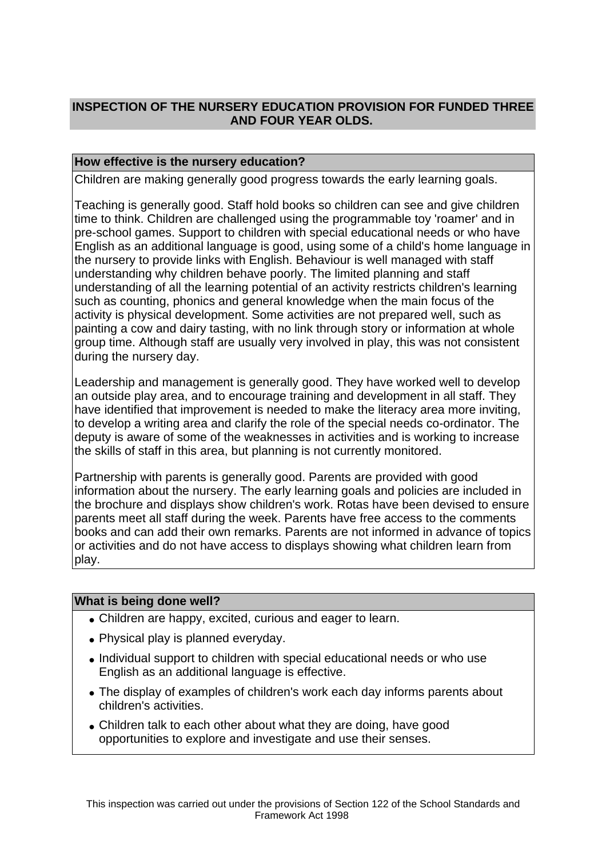# **INSPECTION OF THE NURSERY EDUCATION PROVISION FOR FUNDED THREE AND FOUR YEAR OLDS.**

# **How effective is the nursery education?**

Children are making generally good progress towards the early learning goals.

Teaching is generally good. Staff hold books so children can see and give children time to think. Children are challenged using the programmable toy 'roamer' and in pre-school games. Support to children with special educational needs or who have English as an additional language is good, using some of a child's home language in the nursery to provide links with English. Behaviour is well managed with staff understanding why children behave poorly. The limited planning and staff understanding of all the learning potential of an activity restricts children's learning such as counting, phonics and general knowledge when the main focus of the activity is physical development. Some activities are not prepared well, such as painting a cow and dairy tasting, with no link through story or information at whole group time. Although staff are usually very involved in play, this was not consistent during the nursery day.

Leadership and management is generally good. They have worked well to develop an outside play area, and to encourage training and development in all staff. They have identified that improvement is needed to make the literacy area more inviting, to develop a writing area and clarify the role of the special needs co-ordinator. The deputy is aware of some of the weaknesses in activities and is working to increase the skills of staff in this area, but planning is not currently monitored.

Partnership with parents is generally good. Parents are provided with good information about the nursery. The early learning goals and policies are included in the brochure and displays show children's work. Rotas have been devised to ensure parents meet all staff during the week. Parents have free access to the comments books and can add their own remarks. Parents are not informed in advance of topics or activities and do not have access to displays showing what children learn from play.

## **What is being done well?**

- Children are happy, excited, curious and eager to learn.
- Physical play is planned everyday.
- Individual support to children with special educational needs or who use English as an additional language is effective.
- The display of examples of children's work each day informs parents about children's activities.
- Children talk to each other about what they are doing, have good opportunities to explore and investigate and use their senses.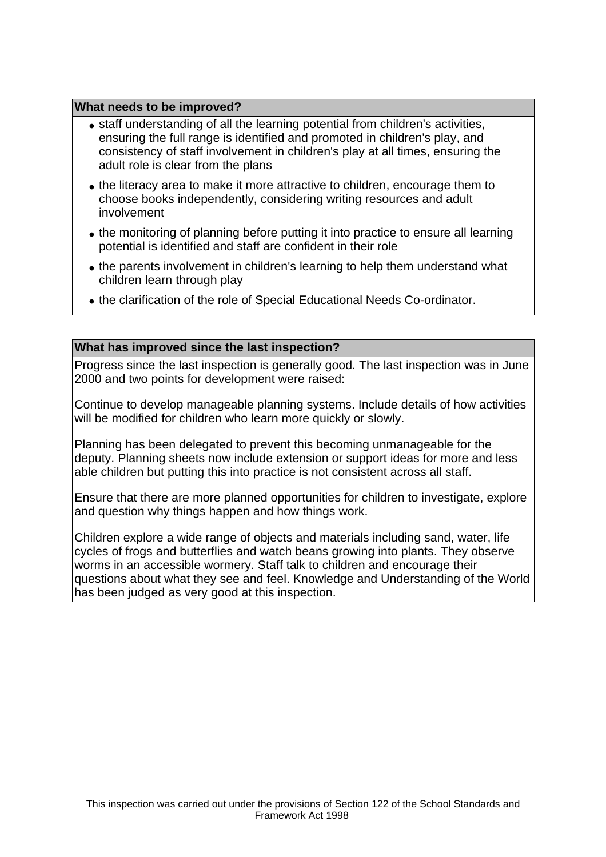## **What needs to be improved?**

- staff understanding of all the learning potential from children's activities, ensuring the full range is identified and promoted in children's play, and consistency of staff involvement in children's play at all times, ensuring the adult role is clear from the plans
- the literacy area to make it more attractive to children, encourage them to choose books independently, considering writing resources and adult involvement
- the monitoring of planning before putting it into practice to ensure all learning potential is identified and staff are confident in their role
- the parents involvement in children's learning to help them understand what children learn through play
- the clarification of the role of Special Educational Needs Co-ordinator.

#### **What has improved since the last inspection?**

Progress since the last inspection is generally good. The last inspection was in June 2000 and two points for development were raised:

Continue to develop manageable planning systems. Include details of how activities will be modified for children who learn more quickly or slowly.

Planning has been delegated to prevent this becoming unmanageable for the deputy. Planning sheets now include extension or support ideas for more and less able children but putting this into practice is not consistent across all staff.

Ensure that there are more planned opportunities for children to investigate, explore and question why things happen and how things work.

Children explore a wide range of objects and materials including sand, water, life cycles of frogs and butterflies and watch beans growing into plants. They observe worms in an accessible wormery. Staff talk to children and encourage their questions about what they see and feel. Knowledge and Understanding of the World has been judged as very good at this inspection.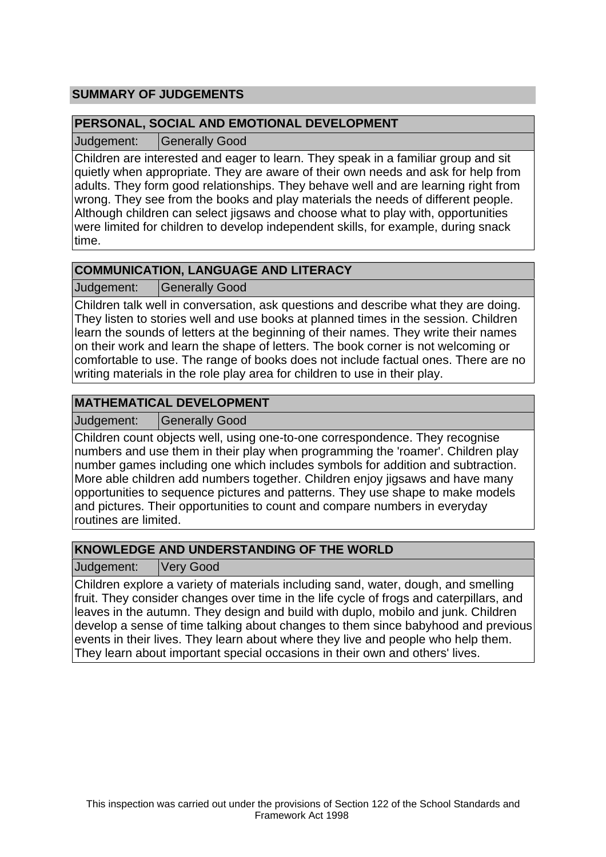# **SUMMARY OF JUDGEMENTS**

## **PERSONAL, SOCIAL AND EMOTIONAL DEVELOPMENT**

Judgement: Generally Good

Children are interested and eager to learn. They speak in a familiar group and sit quietly when appropriate. They are aware of their own needs and ask for help from adults. They form good relationships. They behave well and are learning right from wrong. They see from the books and play materials the needs of different people. Although children can select jigsaws and choose what to play with, opportunities were limited for children to develop independent skills, for example, during snack time.

# **COMMUNICATION, LANGUAGE AND LITERACY**

Judgement: Generally Good

Children talk well in conversation, ask questions and describe what they are doing. They listen to stories well and use books at planned times in the session. Children learn the sounds of letters at the beginning of their names. They write their names on their work and learn the shape of letters. The book corner is not welcoming or comfortable to use. The range of books does not include factual ones. There are no writing materials in the role play area for children to use in their play.

# **MATHEMATICAL DEVELOPMENT**

Judgement: Generally Good

Children count objects well, using one-to-one correspondence. They recognise numbers and use them in their play when programming the 'roamer'. Children play number games including one which includes symbols for addition and subtraction. More able children add numbers together. Children enjoy jigsaws and have many opportunities to sequence pictures and patterns. They use shape to make models and pictures. Their opportunities to count and compare numbers in everyday routines are limited.

# **KNOWLEDGE AND UNDERSTANDING OF THE WORLD**

Judgement: Very Good

Children explore a variety of materials including sand, water, dough, and smelling fruit. They consider changes over time in the life cycle of frogs and caterpillars, and leaves in the autumn. They design and build with duplo, mobilo and junk. Children develop a sense of time talking about changes to them since babyhood and previous events in their lives. They learn about where they live and people who help them. They learn about important special occasions in their own and others' lives.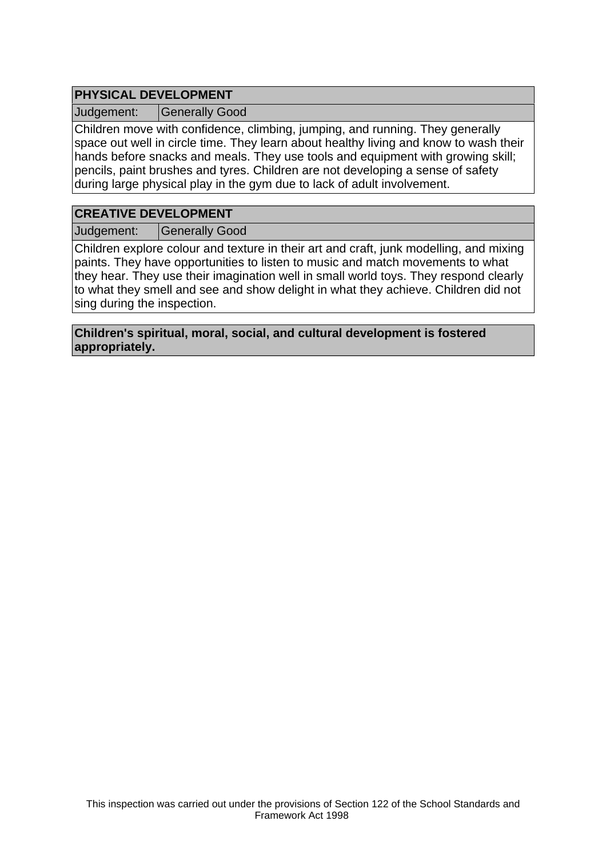# **PHYSICAL DEVELOPMENT**

Judgement: Generally Good

Children move with confidence, climbing, jumping, and running. They generally space out well in circle time. They learn about healthy living and know to wash their hands before snacks and meals. They use tools and equipment with growing skill; pencils, paint brushes and tyres. Children are not developing a sense of safety during large physical play in the gym due to lack of adult involvement.

# **CREATIVE DEVELOPMENT**

Judgement: | Generally Good

Children explore colour and texture in their art and craft, junk modelling, and mixing paints. They have opportunities to listen to music and match movements to what they hear. They use their imagination well in small world toys. They respond clearly to what they smell and see and show delight in what they achieve. Children did not sing during the inspection.

**Children's spiritual, moral, social, and cultural development is fostered appropriately.**